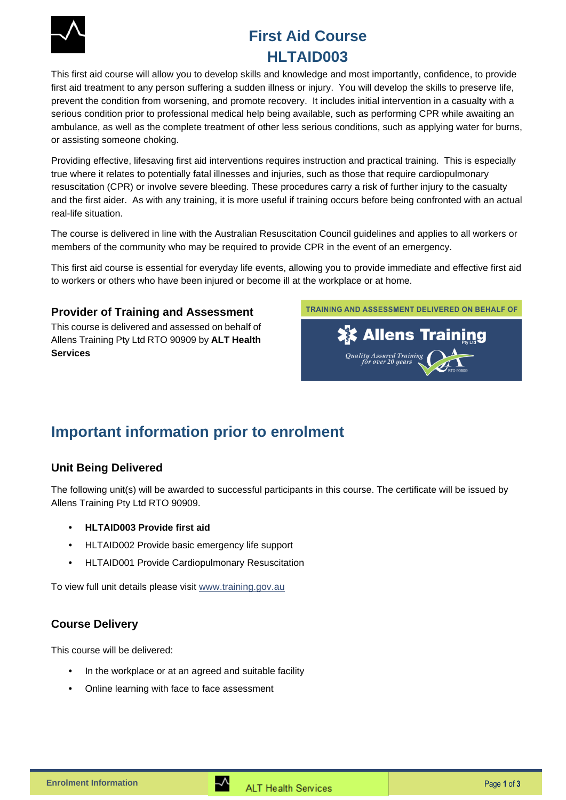

# **First Aid Course HLTAID003**

This first aid course will allow you to develop skills and knowledge and most importantly, confidence, to provide first aid treatment to any person suffering a sudden illness or injury. You will develop the skills to preserve life, prevent the condition from worsening, and promote recovery. It includes initial intervention in a casualty with a serious condition prior to professional medical help being available, such as performing CPR while awaiting an ambulance, as well as the complete treatment of other less serious conditions, such as applying water for burns, or assisting someone choking.

Providing effective, lifesaving first aid interventions requires instruction and practical training. This is especially true where it relates to potentially fatal illnesses and injuries, such as those that require cardiopulmonary resuscitation (CPR) or involve severe bleeding. These procedures carry a risk of further injury to the casualty and the first aider. As with any training, it is more useful if training occurs before being confronted with an actual real-life situation.

The course is delivered in line with the Australian Resuscitation Council guidelines and applies to all workers or members of the community who may be required to provide CPR in the event of an emergency.

This first aid course is essential for everyday life events, allowing you to provide immediate and effective first aid to workers or others who have been injured or become ill at the workplace or at home.

#### **Provider of Training and Assessment**

This course is delivered and assessed on behalf of Allens Training Pty Ltd RTO 90909 by **ALT Health Services**

TRAINING AND ASSESSMENT DELIVERED ON BEHALF OF



## **Important information prior to enrolment**

## **Unit Being Delivered**

The following unit(s) will be awarded to successful participants in this course. The certificate will be issued by Allens Training Pty Ltd RTO 90909.

- **HLTAID003 Provide first aid**
- HLTAID002 Provide basic emergency life support
- HLTAID001 Provide Cardiopulmonary Resuscitation

To view full unit details please visit [www.training.gov.au](https://training.gov.au/Training/Details/HLTAID003) 

## **Course Delivery**

This course will be delivered:

- In the workplace or at an agreed and suitable facility
- Online learning with face to face assessment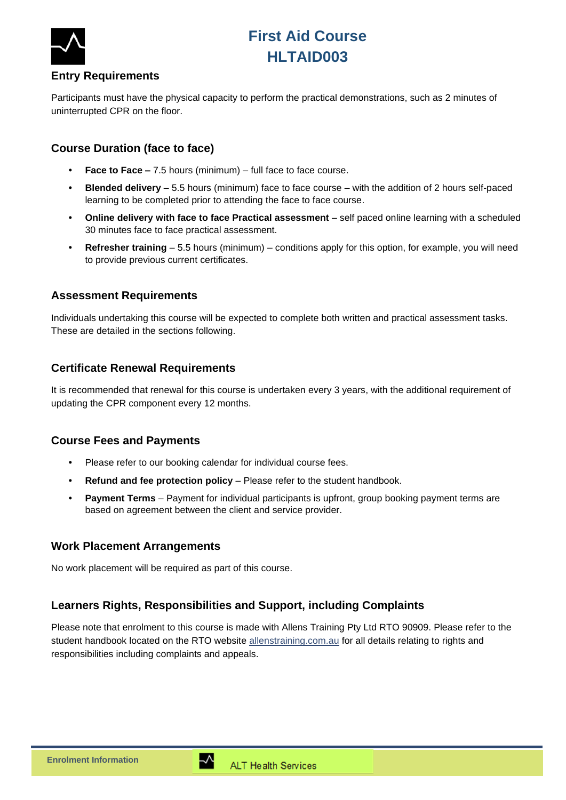



#### **Entry Requirements**

Participants must have the physical capacity to perform the practical demonstrations, such as 2 minutes of uninterrupted CPR on the floor.

## **Course Duration (face to face)**

- **Face to Face –** 7.5 hours (minimum) full face to face course.
- **Blended delivery** 5.5 hours (minimum) face to face course with the addition of 2 hours self-paced learning to be completed prior to attending the face to face course.
- **Online delivery with face to face Practical assessment** self paced online learning with a scheduled 30 minutes face to face practical assessment.
- **Refresher training** 5.5 hours (minimum) conditions apply for this option, for example, you will need to provide previous current certificates.

#### **Assessment Requirements**

Individuals undertaking this course will be expected to complete both written and practical assessment tasks. These are detailed in the sections following.

#### **Certificate Renewal Requirements**

It is recommended that renewal for this course is undertaken every 3 years, with the additional requirement of updating the CPR component every 12 months.

#### **Course Fees and Payments**

- Please refer to our booking calendar for individual course fees.
- **Refund and fee protection policy** Please refer to the student handbook.
- **Payment Terms** Payment for individual participants is upfront, group booking payment terms are based on agreement between the client and service provider.

#### **Work Placement Arrangements**

No work placement will be required as part of this course.

## **Learners Rights, Responsibilities and Support, including Complaints**

Please note that enrolment to this course is made with Allens Training Pty Ltd RTO 90909. Please refer to the student handbook located on the RTO website [allenstraining.com.au](https://www.allenstraining.com.au/students/student-handbook.aspx) for all details relating to rights and responsibilities including complaints and appeals.